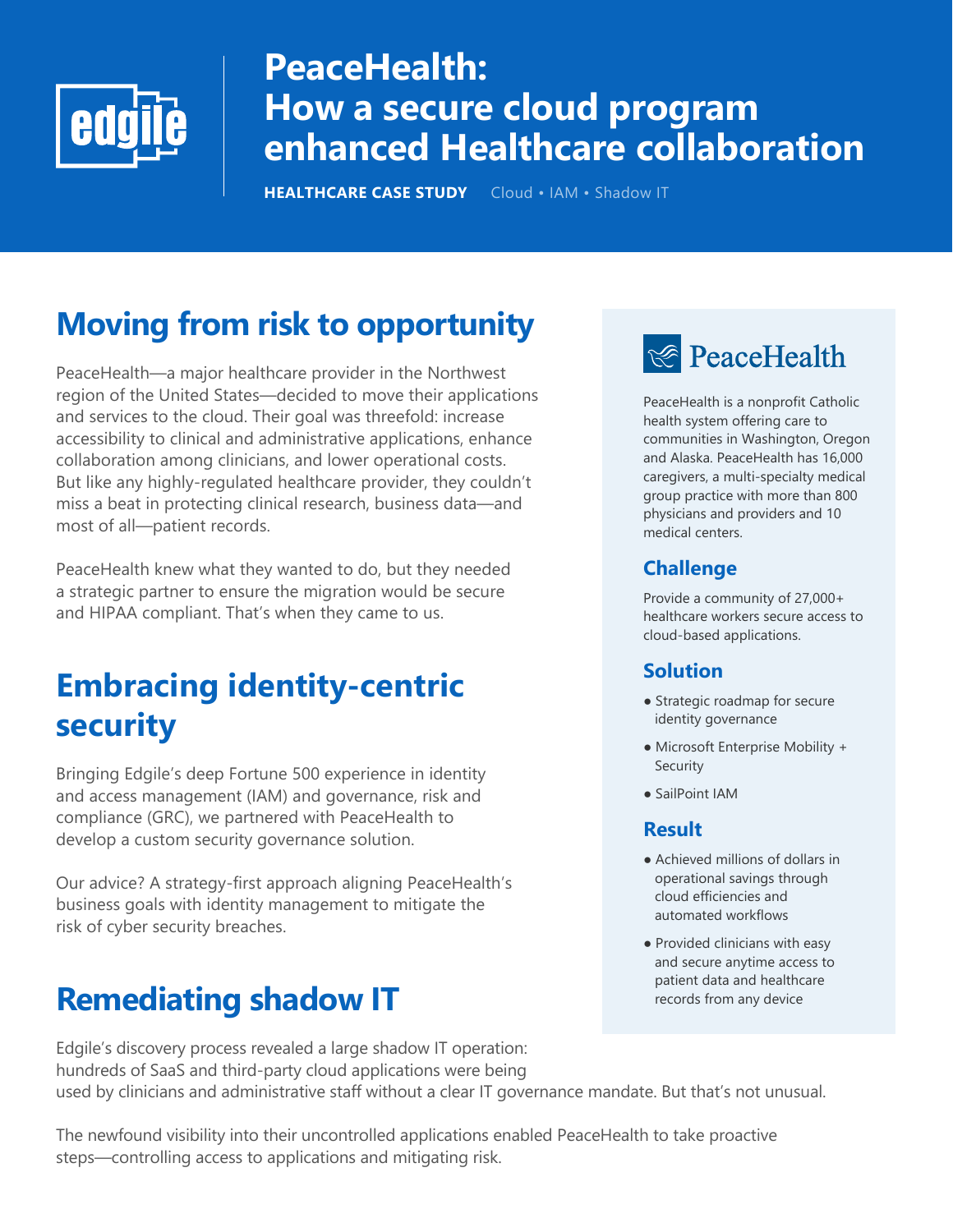

# **PeaceHealth: How a secure cloud program enhanced Healthcare collaboration**

**HEALTHCARE CASE STUDY** Cloud • IAM • Shadow IT

# **Moving from risk to opportunity**

PeaceHealth—a major healthcare provider in the Northwest region of the United States—decided to move their applications and services to the cloud. Their goal was threefold: increase accessibility to clinical and administrative applications, enhance collaboration among clinicians, and lower operational costs. But like any highly-regulated healthcare provider, they couldn't miss a beat in protecting clinical research, business data—and most of all—patient records.

PeaceHealth knew what they wanted to do, but they needed a strategic partner to ensure the migration would be secure and HIPAA compliant. That's when they came to us.

### **Embracing identity-centric security**

Bringing Edgile's deep Fortune 500 experience in identity and access management (IAM) and governance, risk and compliance (GRC), we partnered with PeaceHealth to develop a custom security governance solution.

Our advice? A strategy-first approach aligning PeaceHealth's business goals with identity management to mitigate the risk of cyber security breaches.

## **Remediating shadow IT**

Edgile's discovery process revealed a large shadow IT operation: hundreds of SaaS and third-party cloud applications were being used by clinicians and administrative staff without a clear IT governance mandate. But that's not unusual.

The newfound visibility into their uncontrolled applications enabled PeaceHealth to take proactive steps—controlling access to applications and mitigating risk.

# **E** PeaceHealth

PeaceHealth is a nonprofit Catholic health system offering care to communities in Washington, Oregon and Alaska. PeaceHealth has 16,000 caregivers, a multi-specialty medical group practice with more than 800 physicians and providers and 10 medical centers.

### **Challenge**

Provide a community of 27,000+ healthcare workers secure access to cloud-based applications.

#### **Solution**

- Strategic roadmap for secure identity governance
- Microsoft Enterprise Mobility + Security
- SailPoint IAM

#### **Result**

- Achieved millions of dollars in operational savings through cloud efficiencies and automated workflows
- Provided clinicians with easy and secure anytime access to patient data and healthcare records from any device